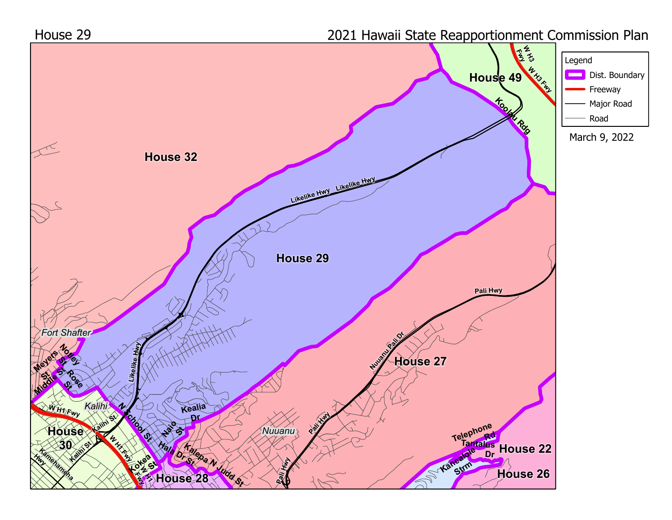